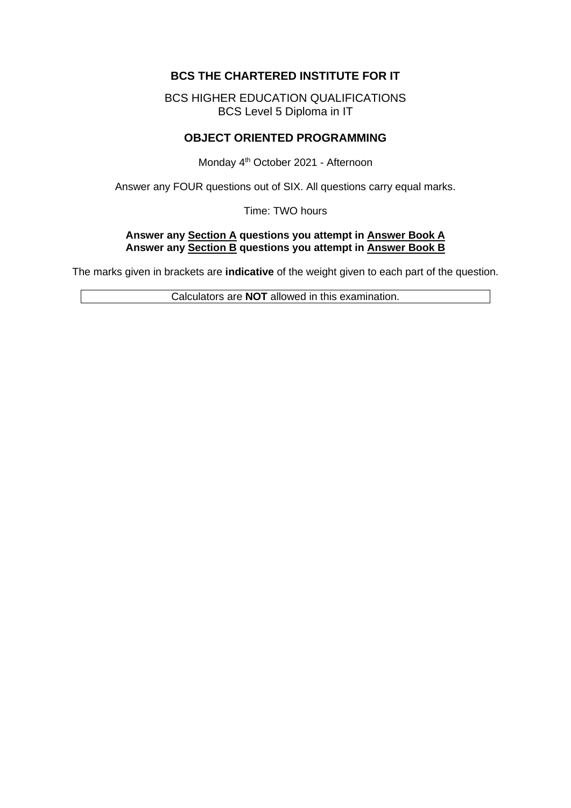# **BCS THE CHARTERED INSTITUTE FOR IT**

BCS HIGHER EDUCATION QUALIFICATIONS BCS Level 5 Diploma in IT

### **OBJECT ORIENTED PROGRAMMING**

Monday 4th October 2021 - Afternoon

Answer any FOUR questions out of SIX. All questions carry equal marks.

Time: TWO hours

#### **Answer any Section A questions you attempt in Answer Book A Answer any Section B questions you attempt in Answer Book B**

The marks given in brackets are **indicative** of the weight given to each part of the question.

Calculators are **NOT** allowed in this examination.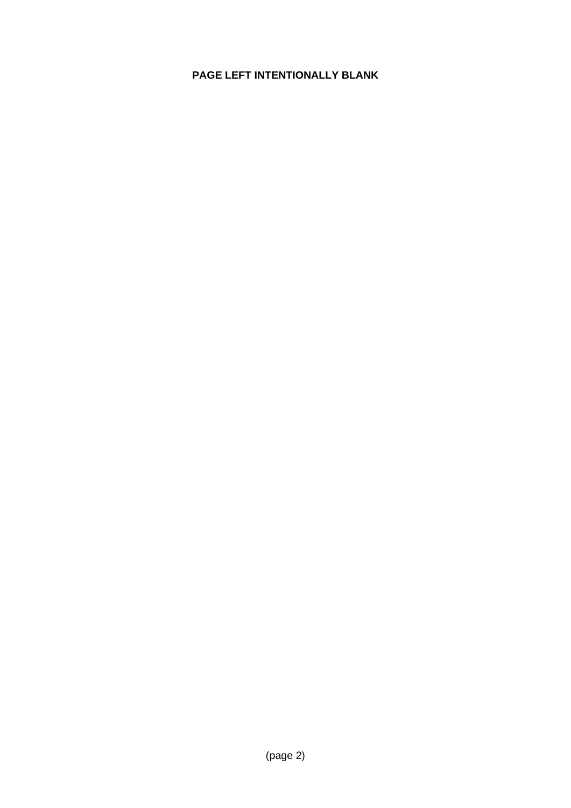# **PAGE LEFT INTENTIONALLY BLANK**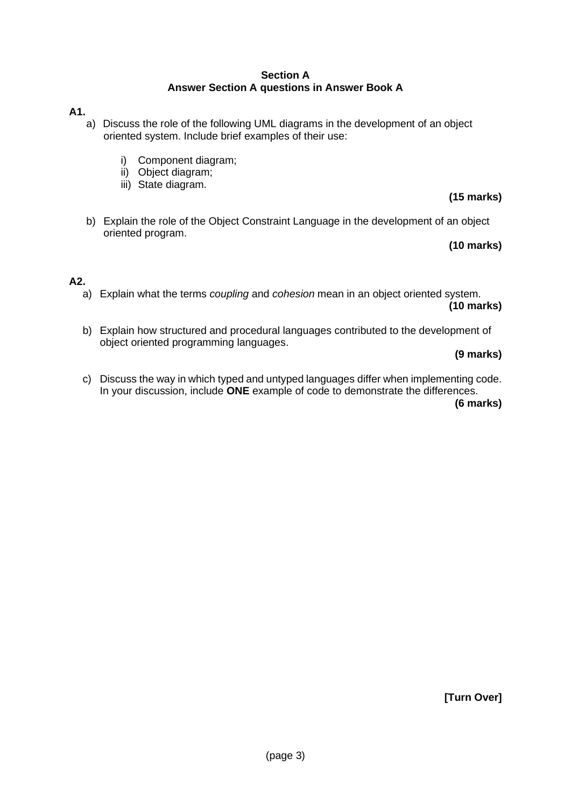#### **Section A Answer Section A questions in Answer Book A**

## **A1.**

- a) Discuss the role of the following UML diagrams in the development of an object oriented system. Include brief examples of their use:
	- i) Component diagram;
	- ii) Object diagram;
	- iii) State diagram.

### **(15 marks)**

b) Explain the role of the Object Constraint Language in the development of an object oriented program.

**(10 marks)**

### **A2.**

a) Explain what the terms *coupling* and *cohesion* mean in an object oriented system.

#### **(10 marks)**

b) Explain how structured and procedural languages contributed to the development of object oriented programming languages.

**(9 marks)**

c) Discuss the way in which typed and untyped languages differ when implementing code. In your discussion, include **ONE** example of code to demonstrate the differences. **(6 marks)**

**[Turn Over]**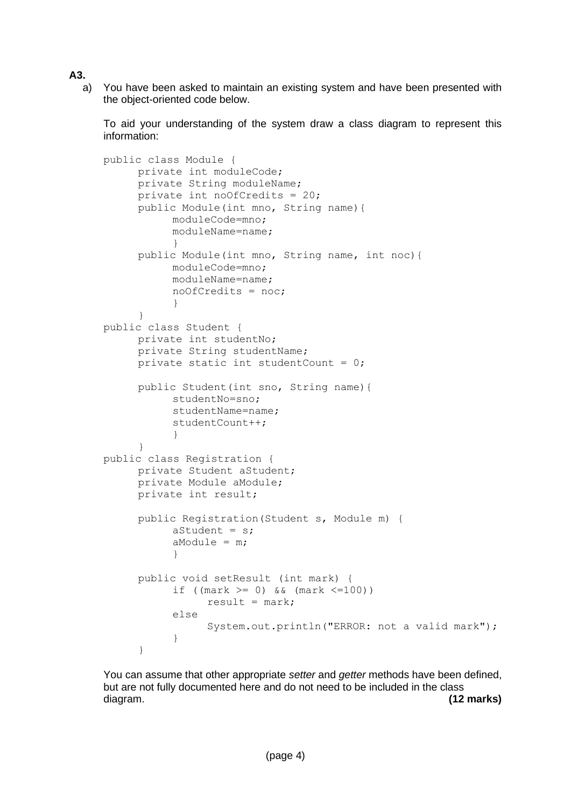**A3.**

a) You have been asked to maintain an existing system and have been presented with the object-oriented code below.

To aid your understanding of the system draw a class diagram to represent this information:

```
public class Module {
     private int moduleCode;
     private String moduleName;
     private int noOfCredits = 20;
     public Module(int mno, String name){
           moduleCode=mno;
           moduleName=name;
           }
     public Module(int mno, String name, int noc){
           moduleCode=mno;
           moduleName=name;
           noOfCredits = noc;
           }
     }
public class Student {
     private int studentNo;
     private String studentName;
     private static int studentCount = 0;
     public Student(int sno, String name){
           studentNo=sno;
           studentName=name;
           studentCount++;
           }
     }
public class Registration {
     private Student aStudent;
     private Module aModule;
     private int result;
     public Registration(Student s, Module m) {
           aStudent = s;aModule = m;
           }
     public void setResult (int mark) {
           if (mark \ge 0) & (mark \le 100)result = mark;else
                System.out.println("ERROR: not a valid mark");
           }
     }
```
You can assume that other appropriate *setter* and *getter* methods have been defined, but are not fully documented here and do not need to be included in the class diagram. **(12 marks)**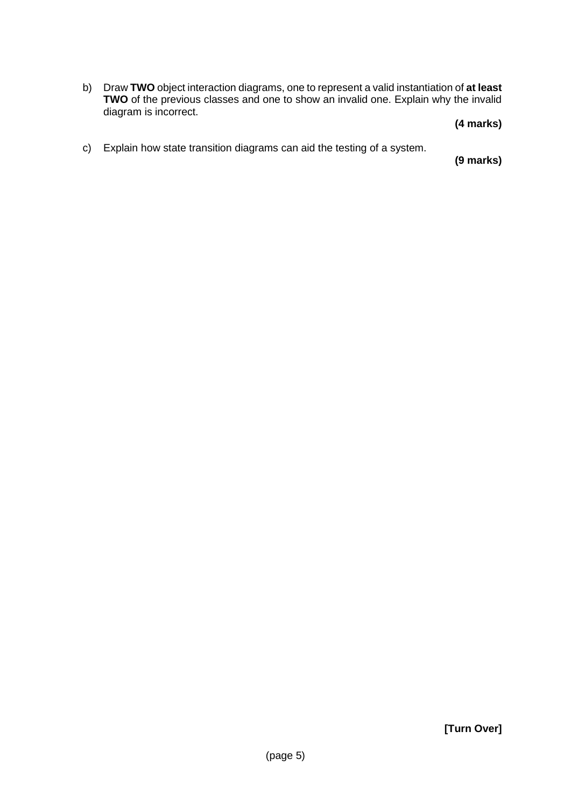b) Draw **TWO** object interaction diagrams, one to represent a valid instantiation of **at least TWO** of the previous classes and one to show an invalid one. Explain why the invalid diagram is incorrect.

**(4 marks)**

c) Explain how state transition diagrams can aid the testing of a system.

**(9 marks)** 

**[Turn Over]**